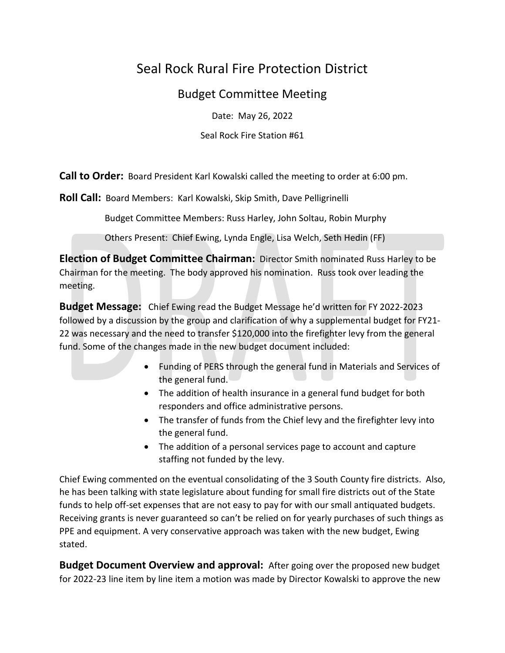## Seal Rock Rural Fire Protection District

## Budget Committee Meeting

Date: May 26, 2022

Seal Rock Fire Station #61

**Call to Order:** Board President Karl Kowalski called the meeting to order at 6:00 pm.

**Roll Call:** Board Members: Karl Kowalski, Skip Smith, Dave Pelligrinelli

Budget Committee Members: Russ Harley, John Soltau, Robin Murphy

Others Present: Chief Ewing, Lynda Engle, Lisa Welch, Seth Hedin (FF)

**Election of Budget Committee Chairman:** Director Smith nominated Russ Harley to be Chairman for the meeting. The body approved his nomination. Russ took over leading the meeting.

**Budget Message:** Chief Ewing read the Budget Message he'd written for FY 2022-2023 followed by a discussion by the group and clarification of why a supplemental budget for FY21- 22 was necessary and the need to transfer \$120,000 into the firefighter levy from the general fund. Some of the changes made in the new budget document included:

- Funding of PERS through the general fund in Materials and Services of the general fund.
- The addition of health insurance in a general fund budget for both responders and office administrative persons.
- The transfer of funds from the Chief levy and the firefighter levy into the general fund.
- The addition of a personal services page to account and capture staffing not funded by the levy.

Chief Ewing commented on the eventual consolidating of the 3 South County fire districts. Also, he has been talking with state legislature about funding for small fire districts out of the State funds to help off-set expenses that are not easy to pay for with our small antiquated budgets. Receiving grants is never guaranteed so can't be relied on for yearly purchases of such things as PPE and equipment. A very conservative approach was taken with the new budget, Ewing stated.

**Budget Document Overview and approval:** After going over the proposed new budget for 2022-23 line item by line item a motion was made by Director Kowalski to approve the new